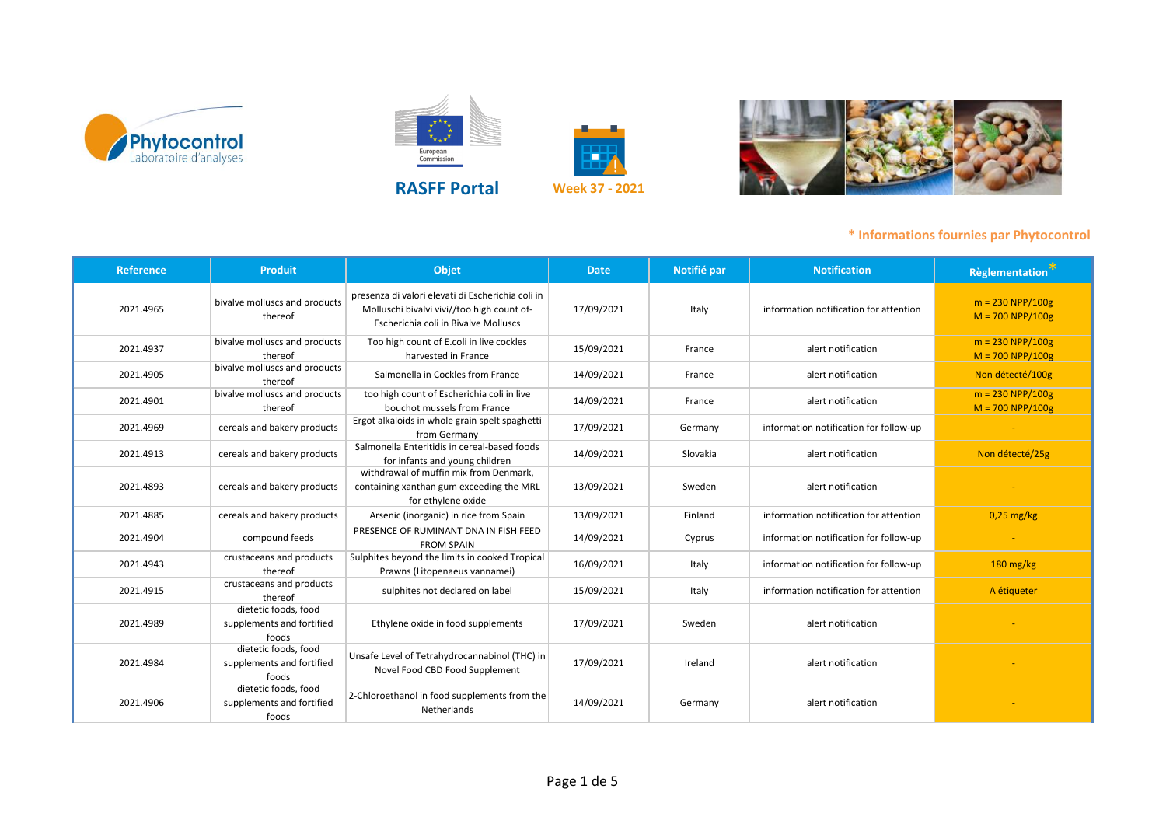



European<br>Commission



| <b>Reference</b> | <b>Produit</b>                                             | Objet                                                                                                                                   | <b>Date</b> | Notifié par | <b>Notification</b>                    | Règlementation                                                           |
|------------------|------------------------------------------------------------|-----------------------------------------------------------------------------------------------------------------------------------------|-------------|-------------|----------------------------------------|--------------------------------------------------------------------------|
| 2021.4965        | bivalve molluscs and products<br>thereof                   | presenza di valori elevati di Escherichia coli in<br>Molluschi bivalvi vivi//too high count of-<br>Escherichia coli in Bivalve Molluscs | 17/09/2021  | Italy       | information notification for attention | $m = 230 \text{ NPP}/100 \text{g}$<br>$M = 700 \text{ NPP}/100 \text{g}$ |
| 2021.4937        | bivalve molluscs and products<br>thereof                   | Too high count of E.coli in live cockles<br>harvested in France                                                                         | 15/09/2021  | France      | alert notification                     | $m = 230 NPP/100g$<br>$M = 700 NPP/100g$                                 |
| 2021.4905        | bivalve molluscs and products<br>thereof                   | Salmonella in Cockles from France                                                                                                       | 14/09/2021  | France      | alert notification                     | Non détecté/100g                                                         |
| 2021.4901        | bivalve molluscs and products<br>thereof                   | too high count of Escherichia coli in live<br>bouchot mussels from France                                                               | 14/09/2021  | France      | alert notification                     | $m = 230 \text{ NPP}/100 \text{g}$<br>$M = 700 NPP/100g$                 |
| 2021.4969        | cereals and bakery products                                | Ergot alkaloids in whole grain spelt spaghetti<br>from Germany                                                                          | 17/09/2021  | Germany     | information notification for follow-up |                                                                          |
| 2021.4913        | cereals and bakery products                                | Salmonella Enteritidis in cereal-based foods<br>for infants and young children                                                          | 14/09/2021  | Slovakia    | alert notification                     | Non détecté/25g                                                          |
| 2021.4893        | cereals and bakery products                                | withdrawal of muffin mix from Denmark,<br>containing xanthan gum exceeding the MRL<br>for ethylene oxide                                | 13/09/2021  | Sweden      | alert notification                     |                                                                          |
| 2021.4885        | cereals and bakery products                                | Arsenic (inorganic) in rice from Spain                                                                                                  | 13/09/2021  | Finland     | information notification for attention | $0,25$ mg/kg                                                             |
| 2021.4904        | compound feeds                                             | PRESENCE OF RUMINANT DNA IN FISH FEED<br><b>FROM SPAIN</b>                                                                              | 14/09/2021  | Cyprus      | information notification for follow-up |                                                                          |
| 2021.4943        | crustaceans and products<br>thereof                        | Sulphites beyond the limits in cooked Tropical<br>Prawns (Litopenaeus vannamei)                                                         | 16/09/2021  | Italy       | information notification for follow-up | $180$ mg/kg                                                              |
| 2021.4915        | crustaceans and products<br>thereof                        | sulphites not declared on label                                                                                                         | 15/09/2021  | Italy       | information notification for attention | A étiqueter                                                              |
| 2021.4989        | dietetic foods, food<br>supplements and fortified<br>foods | Ethylene oxide in food supplements                                                                                                      | 17/09/2021  | Sweden      | alert notification                     |                                                                          |
| 2021.4984        | dietetic foods, food<br>supplements and fortified<br>foods | Unsafe Level of Tetrahydrocannabinol (THC) in<br>Novel Food CBD Food Supplement                                                         | 17/09/2021  | Ireland     | alert notification                     |                                                                          |
| 2021.4906        | dietetic foods, food<br>supplements and fortified<br>foods | 2-Chloroethanol in food supplements from the<br>Netherlands                                                                             | 14/09/2021  | Germany     | alert notification                     |                                                                          |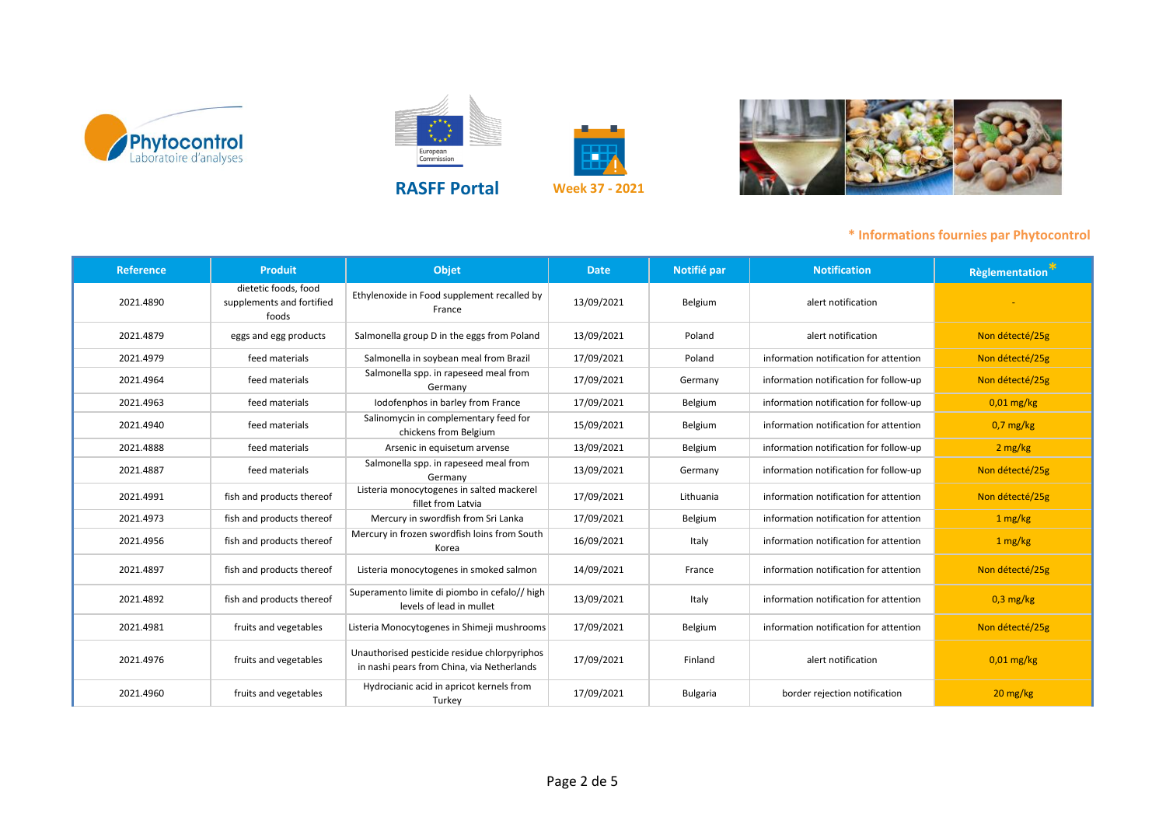





European<br>Commission







| <b>Reference</b> | <b>Produit</b>                                             | <b>Objet</b>                                                                               | <b>Date</b> | Notifié par     | <b>Notification</b>                    | Règlementation <sup>**</sup>     |
|------------------|------------------------------------------------------------|--------------------------------------------------------------------------------------------|-------------|-----------------|----------------------------------------|----------------------------------|
| 2021.4890        | dietetic foods, food<br>supplements and fortified<br>foods | Ethylenoxide in Food supplement recalled by<br>France                                      | 13/09/2021  | Belgium         | alert notification                     |                                  |
| 2021.4879        | eggs and egg products                                      | Salmonella group D in the eggs from Poland                                                 | 13/09/2021  | Poland          | alert notification                     | Non détecté/25g                  |
| 2021.4979        | feed materials                                             | Salmonella in soybean meal from Brazil                                                     | 17/09/2021  | Poland          | information notification for attention | Non détecté/25g                  |
| 2021.4964        | feed materials                                             | Salmonella spp. in rapeseed meal from<br>Germany                                           | 17/09/2021  | Germany         | information notification for follow-up | Non détecté/25g                  |
| 2021.4963        | feed materials                                             | Iodofenphos in barley from France                                                          | 17/09/2021  | Belgium         | information notification for follow-up | $0.01$ mg/kg                     |
| 2021.4940        | feed materials                                             | Salinomycin in complementary feed for<br>chickens from Belgium                             | 15/09/2021  | Belgium         | information notification for attention | $0.7$ mg/kg                      |
| 2021.4888        | feed materials                                             | Arsenic in equisetum arvense                                                               | 13/09/2021  | Belgium         | information notification for follow-up | 2 mg/kg                          |
| 2021.4887        | feed materials                                             | Salmonella spp. in rapeseed meal from<br>Germany                                           | 13/09/2021  | Germany         | information notification for follow-up | Non détecté/25g                  |
| 2021.4991        | fish and products thereof                                  | Listeria monocytogenes in salted mackerel<br>fillet from Latvia                            | 17/09/2021  | Lithuania       | information notification for attention | Non détecté/25g                  |
| 2021.4973        | fish and products thereof                                  | Mercury in swordfish from Sri Lanka                                                        | 17/09/2021  | Belgium         | information notification for attention | 1 mg/kg                          |
| 2021.4956        | fish and products thereof                                  | Mercury in frozen swordfish loins from South<br>Korea                                      | 16/09/2021  | Italy           | information notification for attention | 1 mg/kg                          |
| 2021.4897        | fish and products thereof                                  | Listeria monocytogenes in smoked salmon                                                    | 14/09/2021  | France          | information notification for attention | Non détecté/25g                  |
| 2021.4892        | fish and products thereof                                  | Superamento limite di piombo in cefalo// high<br>levels of lead in mullet                  | 13/09/2021  | Italy           | information notification for attention | $0,3$ mg/kg                      |
| 2021.4981        | fruits and vegetables                                      | Listeria Monocytogenes in Shimeji mushrooms                                                | 17/09/2021  | Belgium         | information notification for attention | Non détecté/25g                  |
| 2021.4976        | fruits and vegetables                                      | Unauthorised pesticide residue chlorpyriphos<br>in nashi pears from China, via Netherlands | 17/09/2021  | Finland         | alert notification                     | $0,01$ mg/kg                     |
| 2021.4960        | fruits and vegetables                                      | Hydrocianic acid in apricot kernels from<br>Turkey                                         | 17/09/2021  | <b>Bulgaria</b> | border rejection notification          | $20 \frac{\text{mg}}{\text{kg}}$ |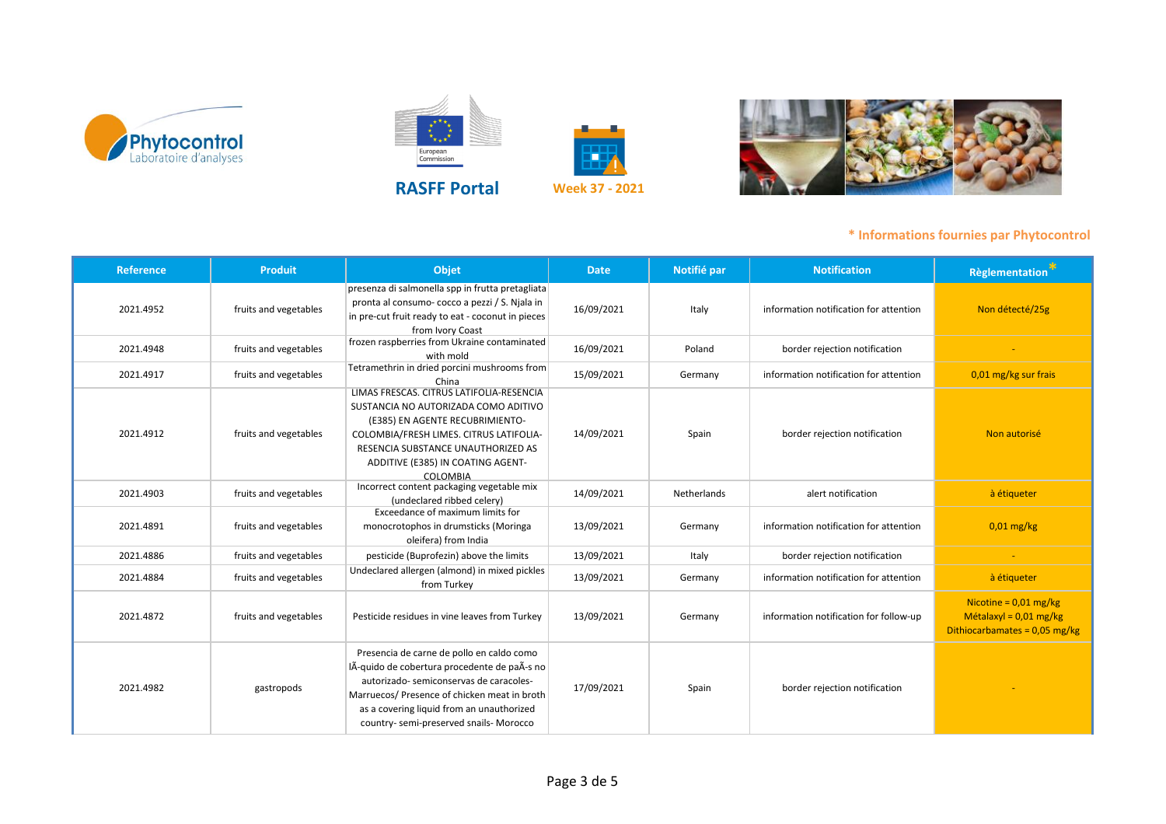



European<br>Commission



| <b>Reference</b> | <b>Produit</b>        | Objet                                                                                                                                                                                                                                                                      | <b>Date</b> | Notifié par | <b>Notification</b>                    | <b>Règlementation</b>                                                                  |
|------------------|-----------------------|----------------------------------------------------------------------------------------------------------------------------------------------------------------------------------------------------------------------------------------------------------------------------|-------------|-------------|----------------------------------------|----------------------------------------------------------------------------------------|
| 2021.4952        | fruits and vegetables | presenza di salmonella spp in frutta pretagliata<br>pronta al consumo- cocco a pezzi / S. Njala in<br>in pre-cut fruit ready to eat - coconut in pieces<br>from Ivory Coast                                                                                                | 16/09/2021  | Italy       | information notification for attention | Non détecté/25g                                                                        |
| 2021.4948        | fruits and vegetables | frozen raspberries from Ukraine contaminated<br>with mold                                                                                                                                                                                                                  | 16/09/2021  | Poland      | border rejection notification          |                                                                                        |
| 2021.4917        | fruits and vegetables | Tetramethrin in dried porcini mushrooms from<br>China                                                                                                                                                                                                                      | 15/09/2021  | Germany     | information notification for attention | 0,01 mg/kg sur frais                                                                   |
| 2021.4912        | fruits and vegetables | LIMAS FRESCAS, CITRUS LATIFOLIA-RESENCIA<br>SUSTANCIA NO AUTORIZADA COMO ADITIVO<br>(E385) EN AGENTE RECUBRIMIENTO-<br>COLOMBIA/FRESH LIMES. CITRUS LATIFOLIA-<br>RESENCIA SUBSTANCE UNAUTHORIZED AS<br>ADDITIVE (E385) IN COATING AGENT-<br>COLOMBIA                      | 14/09/2021  | Spain       | border rejection notification          | Non autorisé                                                                           |
| 2021.4903        | fruits and vegetables | Incorrect content packaging vegetable mix<br>(undeclared ribbed celery)                                                                                                                                                                                                    | 14/09/2021  | Netherlands | alert notification                     | à étiqueter                                                                            |
| 2021.4891        | fruits and vegetables | Exceedance of maximum limits for<br>monocrotophos in drumsticks (Moringa<br>oleifera) from India                                                                                                                                                                           | 13/09/2021  | Germany     | information notification for attention | $0.01$ mg/kg                                                                           |
| 2021.4886        | fruits and vegetables | pesticide (Buprofezin) above the limits                                                                                                                                                                                                                                    | 13/09/2021  | Italy       | border rejection notification          |                                                                                        |
| 2021.4884        | fruits and vegetables | Undeclared allergen (almond) in mixed pickles<br>from Turkey                                                                                                                                                                                                               | 13/09/2021  | Germany     | information notification for attention | à étiqueter                                                                            |
| 2021.4872        | fruits and vegetables | Pesticide residues in vine leaves from Turkey                                                                                                                                                                                                                              | 13/09/2021  | Germany     | information notification for follow-up | Nicotine = $0.01$ mg/kg<br>Métalaxyl = $0.01$ mg/kg<br>Dithiocarbamates = $0.05$ mg/kg |
| 2021.4982        | gastropods            | Presencia de carne de pollo en caldo como<br>lÃ-quido de cobertura procedente de paÃ-s no<br>autorizado-semiconservas de caracoles-<br>Marruecos/ Presence of chicken meat in broth<br>as a covering liquid from an unauthorized<br>country-semi-preserved snails- Morocco | 17/09/2021  | Spain       | border rejection notification          |                                                                                        |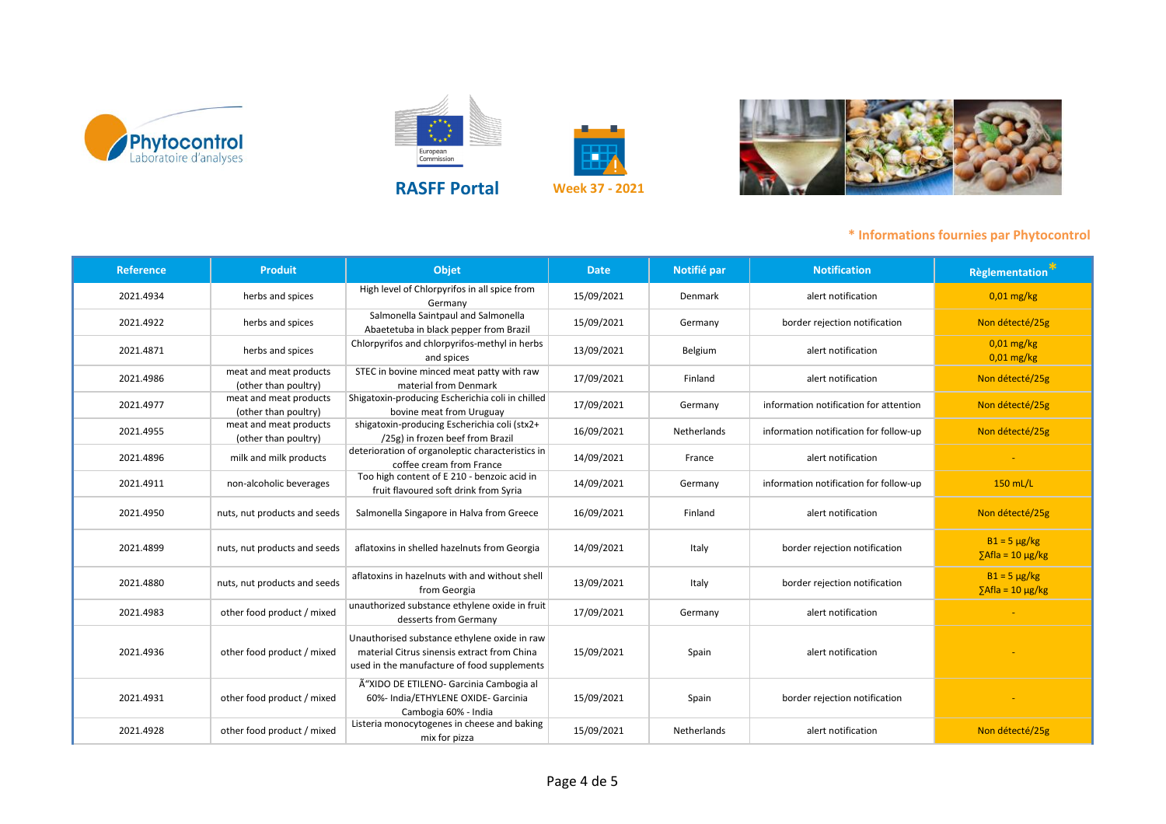











| <b>Reference</b> | <b>Produit</b>                                 | <b>Objet</b>                                                                                                                               | <b>Date</b> | Notifié par        | <b>Notification</b>                    | <b>Règlementation</b> *                               |
|------------------|------------------------------------------------|--------------------------------------------------------------------------------------------------------------------------------------------|-------------|--------------------|----------------------------------------|-------------------------------------------------------|
| 2021.4934        | herbs and spices                               | High level of Chlorpyrifos in all spice from<br>Germany                                                                                    | 15/09/2021  | Denmark            | alert notification                     | $0.01$ mg/kg                                          |
| 2021.4922        | herbs and spices                               | Salmonella Saintpaul and Salmonella<br>Abaetetuba in black pepper from Brazil                                                              | 15/09/2021  | Germany            | border rejection notification          | Non détecté/25g                                       |
| 2021.4871        | herbs and spices                               | Chlorpyrifos and chlorpyrifos-methyl in herbs<br>and spices                                                                                | 13/09/2021  | Belgium            | alert notification                     | 0,01 mg/kg<br>$0.01$ mg/kg                            |
| 2021.4986        | meat and meat products<br>(other than poultry) | STEC in bovine minced meat patty with raw<br>material from Denmark                                                                         | 17/09/2021  | Finland            | alert notification                     | Non détecté/25g                                       |
| 2021.4977        | meat and meat products<br>(other than poultry) | Shigatoxin-producing Escherichia coli in chilled<br>bovine meat from Uruguay                                                               | 17/09/2021  | Germany            | information notification for attention | Non détecté/25g                                       |
| 2021.4955        | meat and meat products<br>(other than poultry) | shigatoxin-producing Escherichia coli (stx2+<br>/25g) in frozen beef from Brazil                                                           | 16/09/2021  | <b>Netherlands</b> | information notification for follow-up | Non détecté/25g                                       |
| 2021.4896        | milk and milk products                         | deterioration of organoleptic characteristics in<br>coffee cream from France                                                               | 14/09/2021  | France             | alert notification                     |                                                       |
| 2021.4911        | non-alcoholic beverages                        | Too high content of E 210 - benzoic acid in<br>fruit flavoured soft drink from Syria                                                       | 14/09/2021  | Germany            | information notification for follow-up | $150$ mL/L                                            |
| 2021.4950        | nuts, nut products and seeds                   | Salmonella Singapore in Halva from Greece                                                                                                  | 16/09/2021  | Finland            | alert notification                     | Non détecté/25g                                       |
| 2021.4899        | nuts, nut products and seeds                   | aflatoxins in shelled hazelnuts from Georgia                                                                                               | 14/09/2021  | Italy              | border rejection notification          | $B1 = 5 \mu g/kg$<br>$\sqrt{\frac{2}{10}}$ > 10 µg/kg |
| 2021.4880        | nuts, nut products and seeds                   | aflatoxins in hazelnuts with and without shell<br>from Georgia                                                                             | 13/09/2021  | Italy              | border rejection notification          | $B1 = 5 \mu g/kg$<br>$\sqrt{\frac{2}{10}}$ > 10 µg/kg |
| 2021.4983        | other food product / mixed                     | unauthorized substance ethylene oxide in fruit<br>desserts from Germany                                                                    | 17/09/2021  | Germany            | alert notification                     |                                                       |
| 2021.4936        | other food product / mixed                     | Unauthorised substance ethylene oxide in raw<br>material Citrus sinensis extract from China<br>used in the manufacture of food supplements | 15/09/2021  | Spain              | alert notification                     |                                                       |
| 2021.4931        | other food product / mixed                     | Ã"XIDO DE ETILENO- Garcinia Cambogia al<br>60%- India/ETHYLENE OXIDE- Garcinia<br>Cambogia 60% - India                                     | 15/09/2021  | Spain              | border rejection notification          |                                                       |
| 2021.4928        | other food product / mixed                     | Listeria monocytogenes in cheese and baking<br>mix for pizza                                                                               | 15/09/2021  | Netherlands        | alert notification                     | Non détecté/25g                                       |